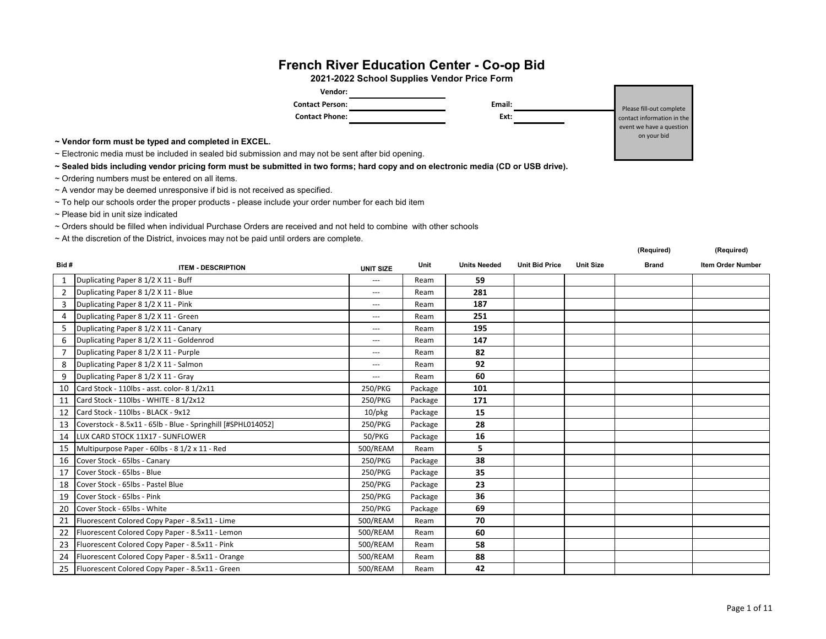## **French River Education Center - Co-op Bid**

**2021-2022 School Supplies Vendor Price Form**

| Vendor:                |        |               |
|------------------------|--------|---------------|
| <b>Contact Person:</b> | Email: | Please fill-o |
| <b>Contact Phone:</b>  | Ext:   | contact infor |
|                        |        | event we hay  |

**~ Vendor form must be typed and completed in EXCEL.**

~ Electronic media must be included in sealed bid submission and may not be sent after bid opening.

**~ Sealed bids including vendor pricing form must be submitted in two forms; hard copy and on electronic media (CD or USB drive).** 

- $\sim$  Ordering numbers must be entered on all items.
- ~ A vendor may be deemed unresponsive if bid is not received as specified.

~ To help our schools order the proper products - please include your order number for each bid item

~ Please bid in unit size indicated

~ Orders should be filled when individual Purchase Orders are received and not held to combine with other schools

~ At the discretion of the District, invoices may not be paid until orders are complete.

|                |                                                              |                  |         |                     |                       |                  | (Required)   | (Required)               |
|----------------|--------------------------------------------------------------|------------------|---------|---------------------|-----------------------|------------------|--------------|--------------------------|
| Bid #          | <b>ITEM - DESCRIPTION</b>                                    | <b>UNIT SIZE</b> | Unit    | <b>Units Needed</b> | <b>Unit Bid Price</b> | <b>Unit Size</b> | <b>Brand</b> | <b>Item Order Number</b> |
|                | Duplicating Paper 8 1/2 X 11 - Buff                          | $- - -$          | Ream    | 59                  |                       |                  |              |                          |
| $\overline{2}$ | Duplicating Paper 8 1/2 X 11 - Blue                          | ---              | Ream    | 281                 |                       |                  |              |                          |
| $\mathbf{3}$   | Duplicating Paper 8 1/2 X 11 - Pink                          | $\cdots$         | Ream    | 187                 |                       |                  |              |                          |
|                | 4 Duplicating Paper 8 1/2 X 11 - Green                       | $\cdots$         | Ream    | 251                 |                       |                  |              |                          |
| 5              | Duplicating Paper 8 1/2 X 11 - Canary                        | $\cdots$         | Ream    | 195                 |                       |                  |              |                          |
| 6              | Duplicating Paper 8 1/2 X 11 - Goldenrod                     | $\cdots$         | Ream    | 147                 |                       |                  |              |                          |
| $\overline{7}$ | Duplicating Paper 8 1/2 X 11 - Purple                        | ---              | Ream    | 82                  |                       |                  |              |                          |
| 8              | Duplicating Paper 8 1/2 X 11 - Salmon                        | $\cdots$         | Ream    | 92                  |                       |                  |              |                          |
| 9              | Duplicating Paper 8 1/2 X 11 - Gray                          | $- - -$          | Ream    | 60                  |                       |                  |              |                          |
|                | 10   Card Stock - 110lbs - asst. color- 8 1/2x11             | 250/PKG          | Package | 101                 |                       |                  |              |                          |
| 11             | Card Stock - 110lbs - WHITE - 8 1/2x12                       | 250/PKG          | Package | 171                 |                       |                  |              |                          |
|                | 12 Card Stock - 110lbs - BLACK - 9x12                        | $10$ /pkg        | Package | 15                  |                       |                  |              |                          |
| 13             | Coverstock - 8.5x11 - 65lb - Blue - Springhill [#SPHL014052] | 250/PKG          | Package | 28                  |                       |                  |              |                          |
|                | 14   LUX CARD STOCK 11X17 - SUNFLOWER                        | 50/PKG           | Package | 16                  |                       |                  |              |                          |
|                | 15 Multipurpose Paper - 60lbs - 8 1/2 x 11 - Red             | 500/REAM         | Ream    | 5                   |                       |                  |              |                          |
| 16             | Cover Stock - 65lbs - Canary                                 | 250/PKG          | Package | 38                  |                       |                  |              |                          |
| 17             | Cover Stock - 65lbs - Blue                                   | 250/PKG          | Package | 35                  |                       |                  |              |                          |
|                | 18 Cover Stock - 65lbs - Pastel Blue                         | 250/PKG          | Package | 23                  |                       |                  |              |                          |
| 19             | Cover Stock - 65lbs - Pink                                   | 250/PKG          | Package | 36                  |                       |                  |              |                          |
| 20             | Cover Stock - 65lbs - White                                  | 250/PKG          | Package | 69                  |                       |                  |              |                          |
| 21             | Fluorescent Colored Copy Paper - 8.5x11 - Lime               | 500/REAM         | Ream    | 70                  |                       |                  |              |                          |
| 22             | Fluorescent Colored Copy Paper - 8.5x11 - Lemon              | 500/REAM         | Ream    | 60                  |                       |                  |              |                          |
|                | 23 Fluorescent Colored Copy Paper - 8.5x11 - Pink            | 500/REAM         | Ream    | 58                  |                       |                  |              |                          |
| 24             | Fluorescent Colored Copy Paper - 8.5x11 - Orange             | 500/REAM         | Ream    | 88                  |                       |                  |              |                          |
|                | 25   Fluorescent Colored Copy Paper - 8.5x11 - Green         | 500/REAM         | Ream    | 42                  |                       |                  |              |                          |

ut complete mation in the e a question on your bid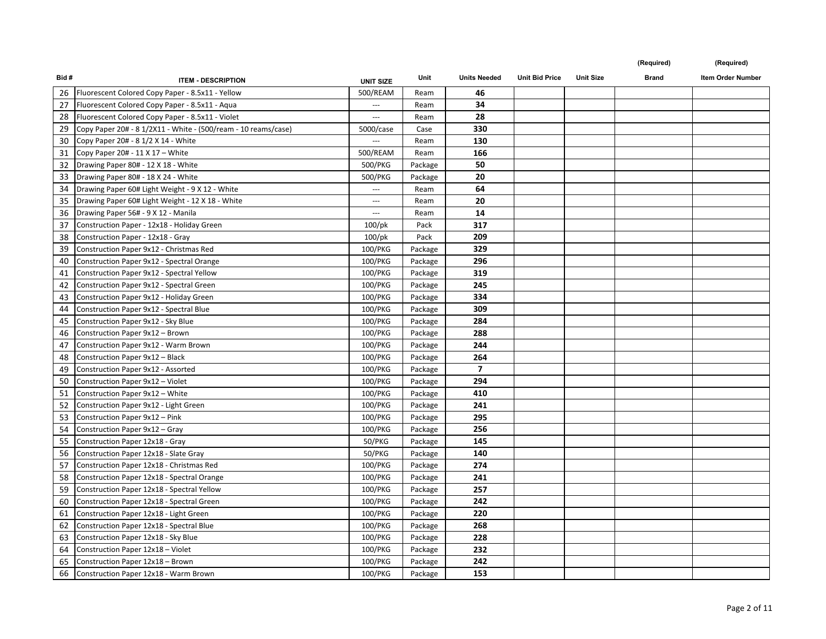| Bid# | <b>ITEM - DESCRIPTION</b>                                      | <b>UNIT SIZE</b>         | Unit    | <b>Units Needed</b> | <b>Unit Bid Price</b> | <b>Unit Size</b> | <b>Brand</b> | Item Order Number |
|------|----------------------------------------------------------------|--------------------------|---------|---------------------|-----------------------|------------------|--------------|-------------------|
|      | 26   Fluorescent Colored Copy Paper - 8.5x11 - Yellow          | 500/REAM                 | Ream    | 46                  |                       |                  |              |                   |
| 27   | Fluorescent Colored Copy Paper - 8.5x11 - Aqua                 | $\overline{a}$           | Ream    | 34                  |                       |                  |              |                   |
| 28   | Fluorescent Colored Copy Paper - 8.5x11 - Violet               | $\hspace{0.05cm} \ldots$ | Ream    | 28                  |                       |                  |              |                   |
| 29   | Copy Paper 20# - 8 1/2X11 - White - (500/ream - 10 reams/case) | 5000/case                | Case    | 330                 |                       |                  |              |                   |
| 30   | Copy Paper 20# - 8 1/2 X 14 - White                            | $\hspace{0.05cm} \ldots$ | Ream    | 130                 |                       |                  |              |                   |
| 31   | Copy Paper 20# - 11 $\times$ 17 - White                        | 500/REAM                 | Ream    | 166                 |                       |                  |              |                   |
| 32   | Drawing Paper 80# - 12 X 18 - White                            | 500/PKG                  | Package | 50                  |                       |                  |              |                   |
| 33   | Drawing Paper 80# - 18 X 24 - White                            | 500/PKG                  | Package | 20                  |                       |                  |              |                   |
| 34   | Drawing Paper 60# Light Weight - 9 X 12 - White                | $\hspace{0.05cm} \ldots$ | Ream    | 64                  |                       |                  |              |                   |
| 35   | Drawing Paper 60# Light Weight - 12 X 18 - White               | $\sim$ $\sim$ $\sim$     | Ream    | 20                  |                       |                  |              |                   |
| 36   | Drawing Paper 56# - 9 X 12 - Manila                            | $\hspace{0.05cm} \ldots$ | Ream    | 14                  |                       |                  |              |                   |
| 37   | Construction Paper - 12x18 - Holiday Green                     | $100$ /pk                | Pack    | 317                 |                       |                  |              |                   |
| 38   | Construction Paper - 12x18 - Gray                              | $100$ /pk                | Pack    | 209                 |                       |                  |              |                   |
| 39   | Construction Paper 9x12 - Christmas Red                        | 100/PKG                  | Package | 329                 |                       |                  |              |                   |
| 40   | Construction Paper 9x12 - Spectral Orange                      | 100/PKG                  | Package | 296                 |                       |                  |              |                   |
| 41   | Construction Paper 9x12 - Spectral Yellow                      | 100/PKG                  | Package | 319                 |                       |                  |              |                   |
| 42   | Construction Paper 9x12 - Spectral Green                       | 100/PKG                  | Package | 245                 |                       |                  |              |                   |
| 43   | Construction Paper 9x12 - Holiday Green                        | 100/PKG                  | Package | 334                 |                       |                  |              |                   |
| 44   | Construction Paper 9x12 - Spectral Blue                        | 100/PKG                  | Package | 309                 |                       |                  |              |                   |
| 45   | Construction Paper 9x12 - Sky Blue                             | 100/PKG                  | Package | 284                 |                       |                  |              |                   |
| 46   | Construction Paper 9x12 - Brown                                | 100/PKG                  | Package | 288                 |                       |                  |              |                   |
| 47   | Construction Paper 9x12 - Warm Brown                           | 100/PKG                  | Package | 244                 |                       |                  |              |                   |
| 48   | Construction Paper 9x12 - Black                                | 100/PKG                  | Package | 264                 |                       |                  |              |                   |
| 49   | Construction Paper 9x12 - Assorted                             | 100/PKG                  | Package | $\overline{7}$      |                       |                  |              |                   |
| 50   | Construction Paper 9x12 - Violet                               | 100/PKG                  | Package | 294                 |                       |                  |              |                   |
| 51   | Construction Paper 9x12 - White                                | 100/PKG                  | Package | 410                 |                       |                  |              |                   |
| 52   | Construction Paper 9x12 - Light Green                          | 100/PKG                  | Package | 241                 |                       |                  |              |                   |
| 53   | Construction Paper 9x12 - Pink                                 | 100/PKG                  | Package | 295                 |                       |                  |              |                   |
| 54   | Construction Paper 9x12 - Gray                                 | 100/PKG                  | Package | 256                 |                       |                  |              |                   |
| 55   | Construction Paper 12x18 - Gray                                | 50/PKG                   | Package | 145                 |                       |                  |              |                   |
| 56   | Construction Paper 12x18 - Slate Gray                          | 50/PKG                   | Package | 140                 |                       |                  |              |                   |
| 57   | Construction Paper 12x18 - Christmas Red                       | 100/PKG                  | Package | 274                 |                       |                  |              |                   |
| 58   | Construction Paper 12x18 - Spectral Orange                     | 100/PKG                  | Package | 241                 |                       |                  |              |                   |
| 59   | Construction Paper 12x18 - Spectral Yellow                     | 100/PKG                  | Package | 257                 |                       |                  |              |                   |
| 60   | Construction Paper 12x18 - Spectral Green                      | 100/PKG                  | Package | 242                 |                       |                  |              |                   |
| 61   | Construction Paper 12x18 - Light Green                         | 100/PKG                  | Package | 220                 |                       |                  |              |                   |
| 62   | Construction Paper 12x18 - Spectral Blue                       | 100/PKG                  | Package | 268                 |                       |                  |              |                   |
| 63   | Construction Paper 12x18 - Sky Blue                            | 100/PKG                  | Package | 228                 |                       |                  |              |                   |
| 64   | Construction Paper 12x18 - Violet                              | 100/PKG                  | Package | 232                 |                       |                  |              |                   |
| 65   | Construction Paper 12x18 - Brown                               | 100/PKG                  | Package | 242                 |                       |                  |              |                   |
|      | 66 Construction Paper 12x18 - Warm Brown                       | 100/PKG                  | Package | 153                 |                       |                  |              |                   |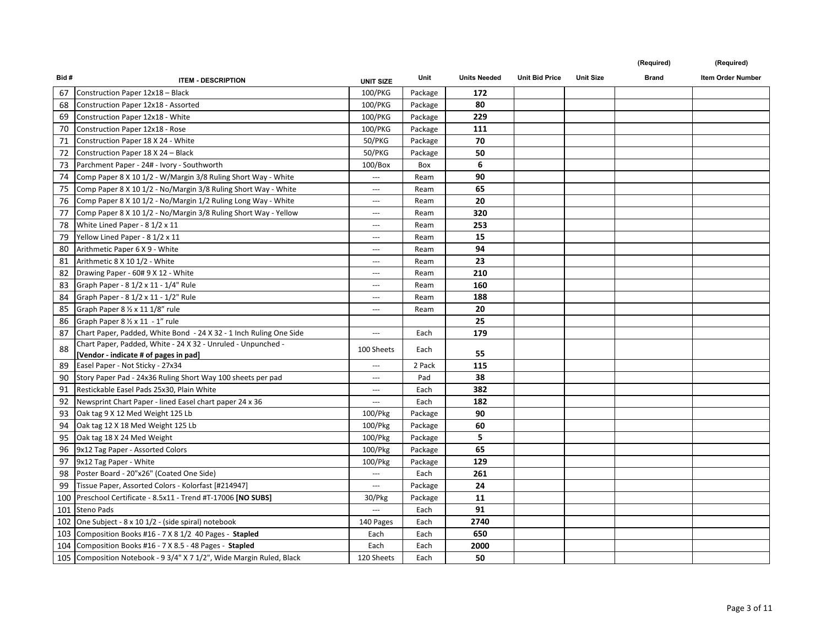| Bid# | <b>ITEM - DESCRIPTION</b>                                            | <b>UNIT SIZE</b>         | Unit    | <b>Units Needed</b> | <b>Unit Bid Price</b> | <b>Unit Size</b> | <b>Brand</b> | Item Order Number |
|------|----------------------------------------------------------------------|--------------------------|---------|---------------------|-----------------------|------------------|--------------|-------------------|
| 67   | Construction Paper 12x18 - Black                                     | 100/PKG                  | Package | 172                 |                       |                  |              |                   |
| 68   | Construction Paper 12x18 - Assorted                                  | 100/PKG                  | Package | 80                  |                       |                  |              |                   |
| 69   | Construction Paper 12x18 - White                                     | 100/PKG                  | Package | 229                 |                       |                  |              |                   |
| 70   | Construction Paper 12x18 - Rose                                      | 100/PKG                  | Package | 111                 |                       |                  |              |                   |
| 71   | Construction Paper 18 X 24 - White                                   | 50/PKG                   | Package | 70                  |                       |                  |              |                   |
| 72   | Construction Paper 18 X 24 - Black                                   | 50/PKG                   | Package | 50                  |                       |                  |              |                   |
| 73   | Parchment Paper - 24# - Ivory - Southworth                           | 100/Box                  | Box     | 6                   |                       |                  |              |                   |
| 74   | Comp Paper 8 X 10 1/2 - W/Margin 3/8 Ruling Short Way - White        | $\qquad \qquad -$        | Ream    | 90                  |                       |                  |              |                   |
| 75   | Comp Paper 8 X 10 1/2 - No/Margin 3/8 Ruling Short Way - White       | $\cdots$                 | Ream    | 65                  |                       |                  |              |                   |
| 76   | Comp Paper 8 X 10 1/2 - No/Margin 1/2 Ruling Long Way - White        | $\qquad \qquad -$        | Ream    | 20                  |                       |                  |              |                   |
| 77   | Comp Paper 8 X 10 1/2 - No/Margin 3/8 Ruling Short Way - Yellow      | $\qquad \qquad -$        | Ream    | 320                 |                       |                  |              |                   |
| 78   | White Lined Paper - 8 1/2 x 11                                       | ---                      | Ream    | 253                 |                       |                  |              |                   |
| 79   | Yellow Lined Paper - 8 1/2 x 11                                      | ---                      | Ream    | 15                  |                       |                  |              |                   |
| 80   | Arithmetic Paper 6 X 9 - White                                       | $\overline{a}$           | Ream    | 94                  |                       |                  |              |                   |
| 81   | Arithmetic 8 X 10 1/2 - White                                        | $-$                      | Ream    | 23                  |                       |                  |              |                   |
| 82   | Drawing Paper - 60# 9 X 12 - White                                   | $\hspace{0.05cm} \ldots$ | Ream    | 210                 |                       |                  |              |                   |
| 83   | Graph Paper - 8 1/2 x 11 - 1/4" Rule                                 | $\hspace{0.05cm} \ldots$ | Ream    | 160                 |                       |                  |              |                   |
| 84   | Graph Paper - 8 1/2 x 11 - 1/2" Rule                                 | $-$                      | Ream    | 188                 |                       |                  |              |                   |
| 85   | Graph Paper 8 1/2 x 11 1/8" rule                                     | $\cdots$                 | Ream    | 20                  |                       |                  |              |                   |
| 86   | Graph Paper 8 1/2 x 11 - 1" rule                                     |                          |         | 25                  |                       |                  |              |                   |
| 87   | Chart Paper, Padded, White Bond - 24 X 32 - 1 Inch Ruling One Side   | $\overline{a}$           | Each    | 179                 |                       |                  |              |                   |
| 88   | Chart Paper, Padded, White - 24 X 32 - Unruled - Unpunched -         | 100 Sheets               | Each    |                     |                       |                  |              |                   |
|      | [Vendor - indicate # of pages in pad]                                |                          |         | 55                  |                       |                  |              |                   |
| 89   | Easel Paper - Not Sticky - 27x34                                     | ---                      | 2 Pack  | 115                 |                       |                  |              |                   |
| 90   | Story Paper Pad - 24x36 Ruling Short Way 100 sheets per pad          | $\hspace{0.05cm} \ldots$ | Pad     | 38                  |                       |                  |              |                   |
| 91   | Restickable Easel Pads 25x30, Plain White                            | ---                      | Each    | 382                 |                       |                  |              |                   |
| 92   | Newsprint Chart Paper - lined Easel chart paper 24 x 36              | ---                      | Each    | 182                 |                       |                  |              |                   |
| 93   | Oak tag 9 X 12 Med Weight 125 Lb                                     | 100/Pkg                  | Package | 90                  |                       |                  |              |                   |
| 94   | Oak tag 12 X 18 Med Weight 125 Lb                                    | 100/Pkg                  | Package | 60                  |                       |                  |              |                   |
| 95   | Oak tag 18 X 24 Med Weight                                           | 100/Pkg                  | Package | 5                   |                       |                  |              |                   |
| 96   | 9x12 Tag Paper - Assorted Colors                                     | 100/Pkg                  | Package | 65                  |                       |                  |              |                   |
| 97   | 9x12 Tag Paper - White                                               | 100/Pkg                  | Package | 129                 |                       |                  |              |                   |
| 98   | Poster Board - 20"x26" (Coated One Side)                             | $\overline{a}$           | Each    | 261                 |                       |                  |              |                   |
| 99   | Tissue Paper, Assorted Colors - Kolorfast [#214947]                  | $\qquad \qquad -$        | Package | 24                  |                       |                  |              |                   |
|      | 100 Preschool Certificate - 8.5x11 - Trend #T-17006 [NO SUBS]        | 30/Pkg                   | Package | 11                  |                       |                  |              |                   |
|      | 101 Steno Pads                                                       | ---                      | Each    | 91                  |                       |                  |              |                   |
|      | 102 One Subject - 8 x 10 1/2 - (side spiral) notebook                | 140 Pages                | Each    | 2740                |                       |                  |              |                   |
|      | 103 Composition Books #16 - 7 X 8 1/2 40 Pages - Stapled             | Each                     | Each    | 650                 |                       |                  |              |                   |
|      | 104 Composition Books #16 - 7 X 8.5 - 48 Pages - Stapled             | Each                     | Each    | 2000                |                       |                  |              |                   |
|      | 105 Composition Notebook - 9 3/4" X 7 1/2", Wide Margin Ruled, Black | 120 Sheets               | Each    | 50                  |                       |                  |              |                   |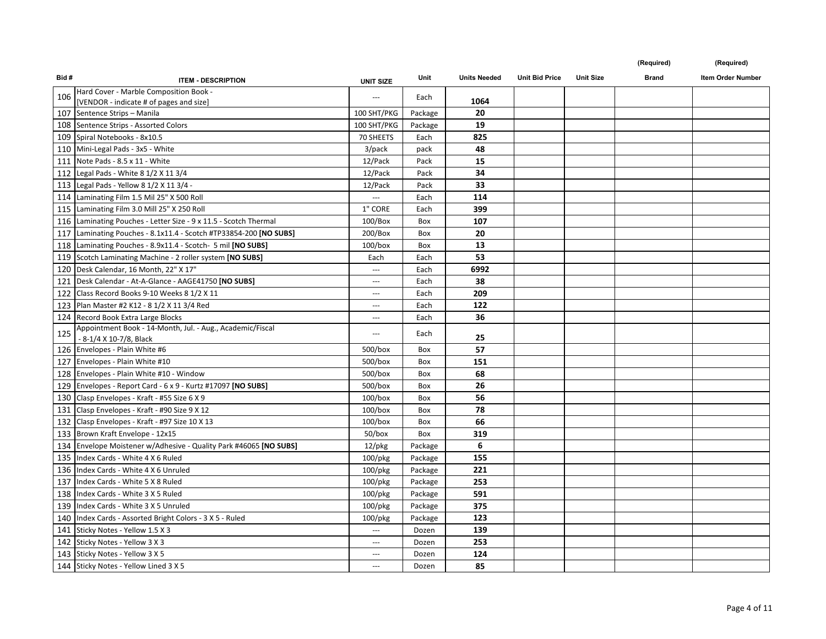|  | (Reauired |  |
|--|-----------|--|
|  |           |  |

| Bid# | <b>ITEM - DESCRIPTION</b>                                                            | <b>UNIT SIZE</b>         | Unit    | <b>Units Needed</b> | <b>Unit Bid Price</b> | <b>Unit Size</b> | <b>Brand</b> | Item Order Number |
|------|--------------------------------------------------------------------------------------|--------------------------|---------|---------------------|-----------------------|------------------|--------------|-------------------|
| 106  | Hard Cover - Marble Composition Book -                                               | $\hspace{0.05cm} \ldots$ | Each    |                     |                       |                  |              |                   |
|      | [VENDOR - indicate # of pages and size]                                              |                          |         | 1064                |                       |                  |              |                   |
|      | 107 Sentence Strips - Manila                                                         | 100 SHT/PKG              | Package | 20                  |                       |                  |              |                   |
|      | 108 Sentence Strips - Assorted Colors                                                | 100 SHT/PKG              | Package | 19                  |                       |                  |              |                   |
|      | 109 Spiral Notebooks - 8x10.5                                                        | 70 SHEETS                | Each    | 825                 |                       |                  |              |                   |
|      | 110 Mini-Legal Pads - 3x5 - White                                                    | 3/pack                   | pack    | 48                  |                       |                  |              |                   |
|      | 111 Note Pads - 8.5 x 11 - White                                                     | 12/Pack                  | Pack    | 15                  |                       |                  |              |                   |
|      | 112   Legal Pads - White 8 1/2 X 11 3/4                                              | 12/Pack                  | Pack    | 34                  |                       |                  |              |                   |
|      | 113 Legal Pads - Yellow 8 1/2 X 11 3/4 -                                             | 12/Pack                  | Pack    | 33                  |                       |                  |              |                   |
|      | 114 Laminating Film 1.5 Mil 25" X 500 Roll                                           |                          | Each    | 114                 |                       |                  |              |                   |
|      | 115 Laminating Film 3.0 Mill 25" X 250 Roll                                          | 1" CORE                  | Each    | 399                 |                       |                  |              |                   |
|      | 116 Laminating Pouches - Letter Size - 9 x 11.5 - Scotch Thermal                     | 100/Box                  | Box     | 107                 |                       |                  |              |                   |
|      | 117 Laminating Pouches - 8.1x11.4 - Scotch #TP33854-200 [NO SUBS]                    | 200/Box                  | Box     | 20                  |                       |                  |              |                   |
|      | 118 Laminating Pouches - 8.9x11.4 - Scotch- 5 mil [NO SUBS]                          | $100/b$ ox               | Box     | 13                  |                       |                  |              |                   |
|      | 119 Scotch Laminating Machine - 2 roller system [NO SUBS]                            | Each                     | Each    | 53                  |                       |                  |              |                   |
|      | 120   Desk Calendar, 16 Month, 22" X 17"                                             | $\overline{a}$           | Each    | 6992                |                       |                  |              |                   |
|      | 121 Desk Calendar - At-A-Glance - AAGE41750 [NO SUBS]                                | $\hspace{0.05cm} \ldots$ | Each    | 38                  |                       |                  |              |                   |
|      | 122 Class Record Books 9-10 Weeks 8 1/2 X 11                                         | $\hspace{0.05cm} \ldots$ | Each    | 209                 |                       |                  |              |                   |
|      | 123   Plan Master #2 K12 - 8 1/2 X 11 3/4 Red                                        | $\hspace{0.05cm} \ldots$ | Each    | 122                 |                       |                  |              |                   |
|      | 124 Record Book Extra Large Blocks                                                   | $\overline{a}$           | Each    | 36                  |                       |                  |              |                   |
| 125  | Appointment Book - 14-Month, Jul. - Aug., Academic/Fiscal<br>- 8-1/4 X 10-7/8, Black | $\cdots$                 | Each    | 25                  |                       |                  |              |                   |
|      | 126 Envelopes - Plain White #6                                                       | 500/box                  | Box     | 57                  |                       |                  |              |                   |
|      | 127 Envelopes - Plain White #10                                                      | 500/box                  | Box     | 151                 |                       |                  |              |                   |
|      | 128 Envelopes - Plain White #10 - Window                                             | $500/b$ ox               | Box     | 68                  |                       |                  |              |                   |
|      | 129 Envelopes - Report Card - 6 x 9 - Kurtz #17097 [NO SUBS]                         | 500/box                  | Box     | 26                  |                       |                  |              |                   |
|      | 130 Clasp Envelopes - Kraft - #55 Size 6 X 9                                         | $100/b$ ox               | Box     | 56                  |                       |                  |              |                   |
|      | 131 Clasp Envelopes - Kraft - #90 Size 9 X 12                                        | $100/b$ ox               | Box     | 78                  |                       |                  |              |                   |
|      | 132 Clasp Envelopes - Kraft - #97 Size 10 X 13                                       | $100/b$ ox               | Box     | 66                  |                       |                  |              |                   |
|      | 133 Brown Kraft Envelope - 12x15                                                     | $50/b$ ox                | Box     | 319                 |                       |                  |              |                   |
|      | 134 Envelope Moistener w/Adhesive - Quality Park #46065 [NO SUBS]                    | 12/pkg                   | Package | 6                   |                       |                  |              |                   |
|      | 135 Index Cards - White 4 X 6 Ruled                                                  | $100$ /pkg               | Package | 155                 |                       |                  |              |                   |
|      | 136 Index Cards - White 4 X 6 Unruled                                                | 100/pkg                  | Package | 221                 |                       |                  |              |                   |
|      | 137 Index Cards - White 5 X 8 Ruled                                                  | 100/pkg                  | Package | 253                 |                       |                  |              |                   |
|      | 138 Index Cards - White 3 X 5 Ruled                                                  | $100$ /pkg               | Package | 591                 |                       |                  |              |                   |
|      | 139 Index Cards - White 3 X 5 Unruled                                                | $100$ /pkg               | Package | 375                 |                       |                  |              |                   |
|      | 140 Index Cards - Assorted Bright Colors - 3 X 5 - Ruled                             | $100$ /pkg               | Package | 123                 |                       |                  |              |                   |
|      | 141 Sticky Notes - Yellow 1.5 X 3                                                    | $\hspace{0.05cm} \ldots$ | Dozen   | 139                 |                       |                  |              |                   |
|      | 142 Sticky Notes - Yellow 3 X 3                                                      | $\hspace{0.05cm} \ldots$ | Dozen   | 253                 |                       |                  |              |                   |
|      | 143 Sticky Notes - Yellow 3 X 5                                                      | $\hspace{0.05cm} \ldots$ | Dozen   | 124                 |                       |                  |              |                   |
|      | 144 Sticky Notes - Yellow Lined 3 X 5                                                | $\sim$ $\sim$ $\sim$     | Dozen   | 85                  |                       |                  |              |                   |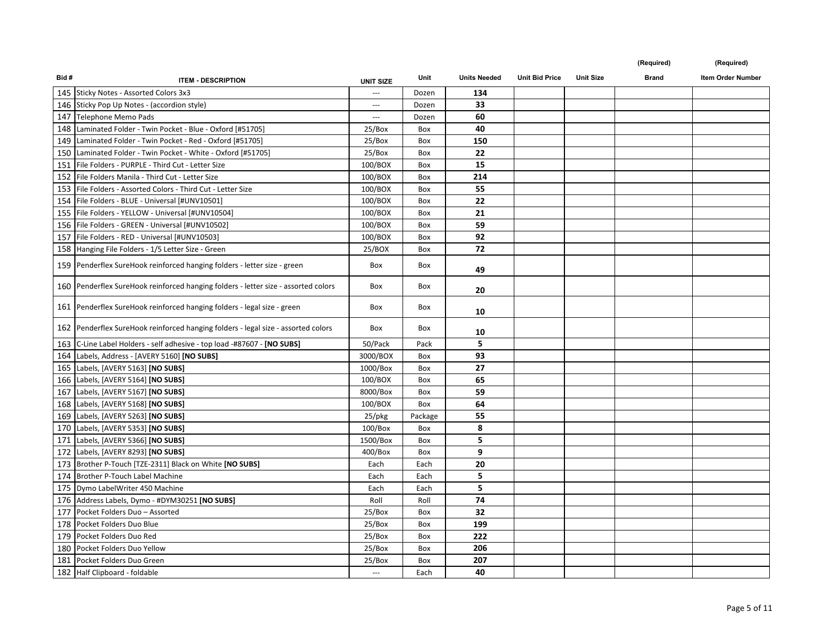| Bid# | <b>ITEM - DESCRIPTION</b>                                                          | <b>UNIT SIZE</b>  | Unit    | <b>Units Needed</b> | <b>Unit Bid Price</b> | <b>Unit Size</b> | <b>Brand</b> | Item Order Number |
|------|------------------------------------------------------------------------------------|-------------------|---------|---------------------|-----------------------|------------------|--------------|-------------------|
|      | 145 Sticky Notes - Assorted Colors 3x3                                             |                   | Dozen   | 134                 |                       |                  |              |                   |
|      | 146 Sticky Pop Up Notes - (accordion style)                                        | $\qquad \qquad -$ | Dozen   | 33                  |                       |                  |              |                   |
|      | 147 Telephone Memo Pads                                                            | $\cdots$          | Dozen   | 60                  |                       |                  |              |                   |
|      | 148   Laminated Folder - Twin Pocket - Blue - Oxford [#51705]                      | 25/Box            | Box     | 40                  |                       |                  |              |                   |
|      | 149   Laminated Folder - Twin Pocket - Red - Oxford [#51705]                       | 25/Box            | Box     | 150                 |                       |                  |              |                   |
|      | 150 Laminated Folder - Twin Pocket - White - Oxford [#51705]                       | 25/Box            | Box     | 22                  |                       |                  |              |                   |
|      | 151   File Folders - PURPLE - Third Cut - Letter Size                              | 100/BOX           | Box     | 15                  |                       |                  |              |                   |
|      | 152 File Folders Manila - Third Cut - Letter Size                                  | 100/BOX           | Box     | 214                 |                       |                  |              |                   |
|      | 153 File Folders - Assorted Colors - Third Cut - Letter Size                       | 100/BOX           | Box     | 55                  |                       |                  |              |                   |
|      | 154 File Folders - BLUE - Universal [#UNV10501]                                    | 100/BOX           | Box     | 22                  |                       |                  |              |                   |
|      | 155 File Folders - YELLOW - Universal [#UNV10504]                                  | 100/BOX           | Box     | 21                  |                       |                  |              |                   |
|      | 156 File Folders - GREEN - Universal [#UNV10502]                                   | 100/BOX           | Box     | 59                  |                       |                  |              |                   |
|      | 157   File Folders - RED - Universal [#UNV10503]                                   | 100/BOX           | Box     | 92                  |                       |                  |              |                   |
|      | 158 Hanging File Folders - 1/5 Letter Size - Green                                 | 25/BOX            | Box     | 72                  |                       |                  |              |                   |
|      | 159 Penderflex SureHook reinforced hanging folders - letter size - green           | Box               | Box     | 49                  |                       |                  |              |                   |
|      | 160 Penderflex SureHook reinforced hanging folders - letter size - assorted colors | Box               | Box     | 20                  |                       |                  |              |                   |
|      | 161 Penderflex SureHook reinforced hanging folders - legal size - green            | Box               | Box     | 10                  |                       |                  |              |                   |
|      | 162 Penderflex SureHook reinforced hanging folders - legal size - assorted colors  | Box               | Box     | 10                  |                       |                  |              |                   |
|      | 163 C-Line Label Holders - self adhesive - top load -#87607 - [NO SUBS]            | 50/Pack           | Pack    | 5                   |                       |                  |              |                   |
|      | 164 Labels, Address - [AVERY 5160] [NO SUBS]                                       | 3000/BOX          | Box     | 93                  |                       |                  |              |                   |
|      | 165 Labels, [AVERY 5163] [NO SUBS]                                                 | 1000/Box          | Box     | 27                  |                       |                  |              |                   |
|      | 166 Labels, [AVERY 5164] [NO SUBS]                                                 | 100/BOX           | Box     | 65                  |                       |                  |              |                   |
| 167  | Labels, [AVERY 5167] [NO SUBS]                                                     | 8000/Box          | Box     | 59                  |                       |                  |              |                   |
|      | 168 Labels, [AVERY 5168] [NO SUBS]                                                 | 100/BOX           | Box     | 64                  |                       |                  |              |                   |
|      | 169 Labels, [AVERY 5263] [NO SUBS]                                                 | $25$ /pkg         | Package | 55                  |                       |                  |              |                   |
|      | 170 Labels, [AVERY 5353] [NO SUBS]                                                 | 100/Box           | Box     | 8                   |                       |                  |              |                   |
|      | 171 Labels, [AVERY 5366] [NO SUBS]                                                 | 1500/Box          | Box     | 5                   |                       |                  |              |                   |
|      | 172 Labels, [AVERY 8293] [NO SUBS]                                                 | 400/Box           | Box     | 9                   |                       |                  |              |                   |
|      | 173 Brother P-Touch [TZE-2311] Black on White [NO SUBS]                            | Each              | Each    | 20                  |                       |                  |              |                   |
|      | 174 Brother P-Touch Label Machine                                                  | Each              | Each    | 5                   |                       |                  |              |                   |
|      | 175 Dymo LabelWriter 450 Machine                                                   | Each              | Each    | 5                   |                       |                  |              |                   |
|      | 176 Address Labels, Dymo - #DYM30251 [NO SUBS]                                     | Roll              | Roll    | 74                  |                       |                  |              |                   |
|      | 177 Pocket Folders Duo - Assorted                                                  | 25/Box            | Box     | 32                  |                       |                  |              |                   |
|      | 178 Pocket Folders Duo Blue                                                        | 25/Box            | Box     | 199                 |                       |                  |              |                   |
|      | 179   Pocket Folders Duo Red                                                       | 25/Box            | Box     | 222                 |                       |                  |              |                   |
|      | 180 Pocket Folders Duo Yellow                                                      | 25/Box            | Box     | 206                 |                       |                  |              |                   |
|      | 181 Pocket Folders Duo Green                                                       | 25/Box            | Box     | 207                 |                       |                  |              |                   |
|      | 182 Half Clipboard - foldable                                                      | $\sim$            | Each    | 40                  |                       |                  |              |                   |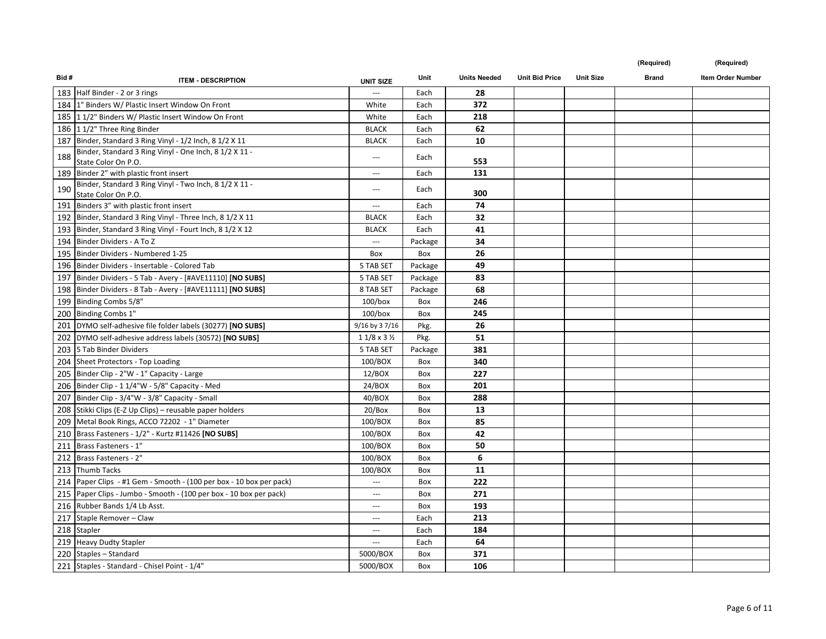| Bid# | <b>ITEM - DESCRIPTION</b>                                                                         | <b>UNIT SIZE</b>           | Unit    | <b>Units Needed</b> | <b>Unit Bid Price</b> | <b>Unit Size</b> | <b>Brand</b> | <b>Item Order Number</b> |
|------|---------------------------------------------------------------------------------------------------|----------------------------|---------|---------------------|-----------------------|------------------|--------------|--------------------------|
|      | 183 Half Binder - 2 or 3 rings                                                                    |                            | Each    | 28                  |                       |                  |              |                          |
|      | 184   1" Binders W/ Plastic Insert Window On Front                                                | White                      | Each    | 372                 |                       |                  |              |                          |
|      | 185   11/2" Binders W/ Plastic Insert Window On Front                                             | White                      | Each    | 218                 |                       |                  |              |                          |
|      | 186 11/2" Three Ring Binder                                                                       | <b>BLACK</b>               | Each    | 62                  |                       |                  |              |                          |
|      | 187 Binder, Standard 3 Ring Vinyl - 1/2 Inch, 8 1/2 X 11                                          | <b>BLACK</b>               | Each    | 10                  |                       |                  |              |                          |
| 188  | Binder, Standard 3 Ring Vinyl - One Inch, 8 1/2 X 11 -                                            | $\overline{\phantom{a}}$   | Each    |                     |                       |                  |              |                          |
|      | State Color On P.O.                                                                               |                            |         | 553<br>131          |                       |                  |              |                          |
|      | 189 Binder 2" with plastic front insert<br>Binder, Standard 3 Ring Vinyl - Two Inch, 8 1/2 X 11 - | $\qquad \qquad -$          | Each    |                     |                       |                  |              |                          |
| 190  | State Color On P.O.                                                                               | ---                        | Each    | 300                 |                       |                  |              |                          |
|      | 191 Binders 3" with plastic front insert                                                          | ---                        | Each    | 74                  |                       |                  |              |                          |
|      | 192 Binder, Standard 3 Ring Vinyl - Three Inch, 8 1/2 X 11                                        | <b>BLACK</b>               | Each    | 32                  |                       |                  |              |                          |
|      | 193 Binder, Standard 3 Ring Vinyl - Fourt Inch, 8 1/2 X 12                                        | <b>BLACK</b>               | Each    | 41                  |                       |                  |              |                          |
|      | 194 Binder Dividers - A To Z                                                                      | $\hspace{0.05cm} \ldots$   | Package | 34                  |                       |                  |              |                          |
|      | 195 Binder Dividers - Numbered 1-25                                                               | Box                        | Box     | 26                  |                       |                  |              |                          |
|      | 196 Binder Dividers - Insertable - Colored Tab                                                    | 5 TAB SET                  | Package | 49                  |                       |                  |              |                          |
|      | 197 Binder Dividers - 5 Tab - Avery - [#AVE11110] [NO SUBS]                                       | 5 TAB SET                  | Package | 83                  |                       |                  |              |                          |
|      | 198 Binder Dividers - 8 Tab - Avery - [#AVE11111] [NO SUBS]                                       | 8 TAB SET                  | Package | 68                  |                       |                  |              |                          |
|      | 199 Binding Combs 5/8"                                                                            | $100/b$ ox                 | Box     | 246                 |                       |                  |              |                          |
|      | 200 Binding Combs 1"                                                                              | $100/b$ ox                 | Box     | 245                 |                       |                  |              |                          |
|      | 201 DYMO self-adhesive file folder labels (30277) [NO SUBS]                                       | 9/16 by 37/16              | Pkg.    | 26                  |                       |                  |              |                          |
|      | 202 DYMO self-adhesive address labels (30572) [NO SUBS]                                           | $11/8 \times 3\frac{1}{2}$ | Pkg.    | 51                  |                       |                  |              |                          |
|      | 203   5 Tab Binder Dividers                                                                       | 5 TAB SET                  | Package | 381                 |                       |                  |              |                          |
|      | 204 Sheet Protectors - Top Loading                                                                | 100/BOX                    | Box     | 340                 |                       |                  |              |                          |
|      | 205 Binder Clip - 2"W - 1" Capacity - Large                                                       | 12/BOX                     | Box     | 227                 |                       |                  |              |                          |
|      | 206 Binder Clip - 1 1/4"W - 5/8" Capacity - Med                                                   | 24/BOX                     | Box     | 201                 |                       |                  |              |                          |
|      | 207 Binder Clip - 3/4"W - 3/8" Capacity - Small                                                   | 40/BOX                     | Box     | 288                 |                       |                  |              |                          |
|      | 208 Stikki Clips (E-Z Up Clips) - reusable paper holders                                          | 20/Box                     | Box     | 13                  |                       |                  |              |                          |
|      | 209 Metal Book Rings, ACCO 72202 - 1" Diameter                                                    | 100/BOX                    | Box     | 85                  |                       |                  |              |                          |
|      | 210 Brass Fasteners - 1/2" - Kurtz #11426 [NO SUBS]                                               | 100/BOX                    | Box     | 42                  |                       |                  |              |                          |
|      | 211 Brass Fasteners - 1"                                                                          | 100/BOX                    | Box     | 50                  |                       |                  |              |                          |
|      | 212 Brass Fasteners - 2"                                                                          | 100/BOX                    | Box     | 6                   |                       |                  |              |                          |
|      | 213 Thumb Tacks                                                                                   | 100/BOX                    | Box     | 11                  |                       |                  |              |                          |
|      | 214 Paper Clips - #1 Gem - Smooth - (100 per box - 10 box per pack)                               | ---                        | Box     | 222                 |                       |                  |              |                          |
|      | 215 Paper Clips - Jumbo - Smooth - (100 per box - 10 box per pack)                                | $-$                        | Box     | 271                 |                       |                  |              |                          |
|      | 216 Rubber Bands 1/4 Lb Asst.                                                                     | ---                        | Box     | 193                 |                       |                  |              |                          |
|      | 217 Staple Remover - Claw                                                                         | $\qquad \qquad -$          | Each    | 213                 |                       |                  |              |                          |
|      | 218 Stapler                                                                                       | $-$                        | Each    | 184                 |                       |                  |              |                          |
|      | 219 Heavy Dudty Stapler                                                                           | ---                        | Each    | 64                  |                       |                  |              |                          |
|      | 220 Staples - Standard                                                                            | 5000/BOX                   | Box     | 371                 |                       |                  |              |                          |
|      | 221 Staples - Standard - Chisel Point - 1/4"                                                      | 5000/BOX                   | Box     | 106                 |                       |                  |              |                          |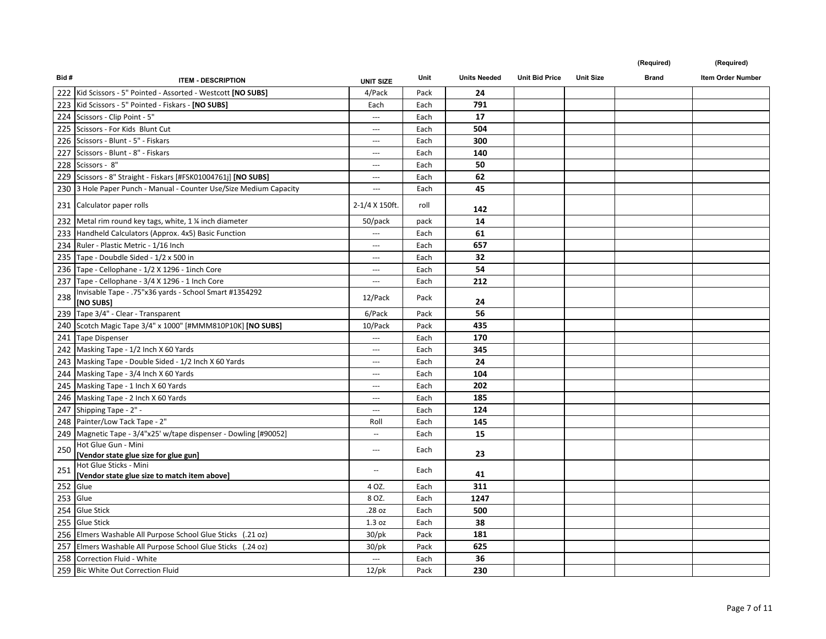| Bid# | <b>ITEM - DESCRIPTION</b>                                           | <b>UNIT SIZE</b>         | Unit | <b>Units Needed</b> | <b>Unit Bid Price</b> | <b>Unit Size</b> | <b>Brand</b> | Item Order Number |
|------|---------------------------------------------------------------------|--------------------------|------|---------------------|-----------------------|------------------|--------------|-------------------|
|      | 222 Kid Scissors - 5" Pointed - Assorted - Westcott [NO SUBS]       | 4/Pack                   | Pack | 24                  |                       |                  |              |                   |
|      | 223   Kid Scissors - 5" Pointed - Fiskars - [NO SUBS]               | Each                     | Each | 791                 |                       |                  |              |                   |
|      | 224 Scissors - Clip Point - 5"                                      | $\sim$ $\sim$            | Each | 17                  |                       |                  |              |                   |
|      | 225 Scissors - For Kids Blunt Cut                                   | $\hspace{0.05cm} \ldots$ | Each | 504                 |                       |                  |              |                   |
|      | 226 Scissors - Blunt - 5" - Fiskars                                 | $\hspace{0.05cm} \ldots$ | Each | 300                 |                       |                  |              |                   |
|      | 227 Scissors - Blunt - 8" - Fiskars                                 | $\hspace{0.05cm} \ldots$ | Each | 140                 |                       |                  |              |                   |
|      | 228 Scissors - 8"                                                   | $\ldots$                 | Each | 50                  |                       |                  |              |                   |
|      | 229 Scissors - 8" Straight - Fiskars [#FSK01004761j] [NO SUBS]      | $\cdots$                 | Each | 62                  |                       |                  |              |                   |
|      | 230 3 Hole Paper Punch - Manual - Counter Use/Size Medium Capacity  | $\hspace{0.05cm}\ldots$  | Each | 45                  |                       |                  |              |                   |
|      | 231 Calculator paper rolls                                          | 2-1/4 X 150ft.           | roll | 142                 |                       |                  |              |                   |
|      | 232 Metal rim round key tags, white, 1 % inch diameter              | 50/pack                  | pack | 14                  |                       |                  |              |                   |
|      | 233 Handheld Calculators (Approx. 4x5) Basic Function               |                          | Each | 61                  |                       |                  |              |                   |
|      | 234 Ruler - Plastic Metric - 1/16 Inch                              | $\hspace{0.05cm} \ldots$ | Each | 657                 |                       |                  |              |                   |
|      | 235 Tape - Doubdle Sided - 1/2 x 500 in                             | $\hspace{0.05cm} \ldots$ | Each | 32                  |                       |                  |              |                   |
|      | 236 Tape - Cellophane - 1/2 X 1296 - 1inch Core                     | $\sim$                   | Each | 54                  |                       |                  |              |                   |
|      | 237 Tape - Cellophane - 3/4 X 1296 - 1 Inch Core                    | $---$                    | Each | 212                 |                       |                  |              |                   |
| 238  | Invisable Tape - .75"x36 yards - School Smart #1354292<br>[NO SUBS] | 12/Pack                  | Pack | 24                  |                       |                  |              |                   |
|      | 239 Tape 3/4" - Clear - Transparent                                 | 6/Pack                   | Pack | 56                  |                       |                  |              |                   |
|      | 240 Scotch Magic Tape 3/4" x 1000" [#MMM810P10K] [NO SUBS]          | 10/Pack                  | Pack | 435                 |                       |                  |              |                   |
|      | 241 Tape Dispenser                                                  | $\cdots$                 | Each | 170                 |                       |                  |              |                   |
|      | 242 Masking Tape - 1/2 Inch X 60 Yards                              | $\hspace{0.05cm} \ldots$ | Each | 345                 |                       |                  |              |                   |
|      | 243 Masking Tape - Double Sided - 1/2 Inch X 60 Yards               | $\sim$                   | Each | 24                  |                       |                  |              |                   |
|      | 244 Masking Tape - 3/4 Inch X 60 Yards                              | $\sim$                   | Each | 104                 |                       |                  |              |                   |
|      | 245 Masking Tape - 1 Inch X 60 Yards                                | $\hspace{0.05cm} \ldots$ | Each | 202                 |                       |                  |              |                   |
|      | 246 Masking Tape - 2 Inch X 60 Yards                                | $\hspace{0.05cm} \ldots$ | Each | 185                 |                       |                  |              |                   |
|      | 247 Shipping Tape - 2" -                                            | $\hspace{0.05cm} \ldots$ | Each | 124                 |                       |                  |              |                   |
|      | 248 Painter/Low Tack Tape - 2"                                      | Roll                     | Each | 145                 |                       |                  |              |                   |
|      | 249   Magnetic Tape - 3/4"x25' w/tape dispenser - Dowling [#90052]  | $\overline{\phantom{a}}$ | Each | 15                  |                       |                  |              |                   |
| 250  | Hot Glue Gun - Mini                                                 | $\hspace{0.05cm} \cdots$ | Each |                     |                       |                  |              |                   |
|      | [Vendor state glue size for glue gun]<br>Hot Glue Sticks - Mini     |                          |      | 23                  |                       |                  |              |                   |
| 251  | [Vendor state glue size to match item above]                        | $\sim$ $\sim$            | Each | 41                  |                       |                  |              |                   |
|      | 252 Glue                                                            | 4 OZ.                    | Each | 311                 |                       |                  |              |                   |
|      | 253 Glue                                                            | 8 OZ.                    | Each | 1247                |                       |                  |              |                   |
|      | 254 Glue Stick                                                      | .28 oz                   | Each | 500                 |                       |                  |              |                   |
|      | 255 Glue Stick                                                      | 1.3 oz                   | Each | 38                  |                       |                  |              |                   |
|      | 256 Elmers Washable All Purpose School Glue Sticks (.21 oz)         | $30$ /pk                 | Pack | 181                 |                       |                  |              |                   |
|      | 257 Elmers Washable All Purpose School Glue Sticks (.24 oz)         | $30$ /pk                 | Pack | 625                 |                       |                  |              |                   |
|      | 258 Correction Fluid - White                                        | $\ldots$                 | Each | 36                  |                       |                  |              |                   |
|      | 259 Bic White Out Correction Fluid                                  | $12$ /pk                 | Pack | 230                 |                       |                  |              |                   |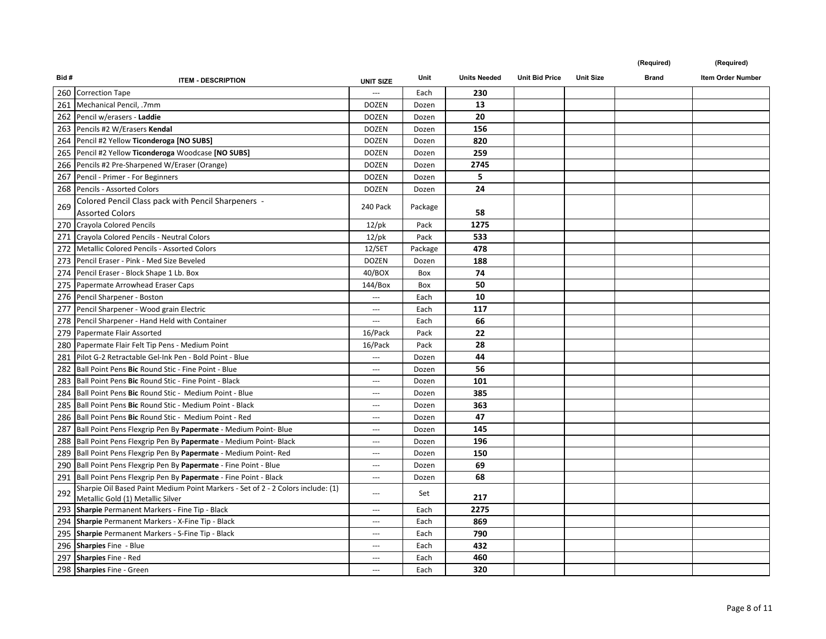| Bid# | <b>ITEM - DESCRIPTION</b>                                                                                            | <b>UNIT SIZE</b>         | Unit    | <b>Units Needed</b> | <b>Unit Bid Price</b> | <b>Unit Size</b> | <b>Brand</b> | Item Order Number |
|------|----------------------------------------------------------------------------------------------------------------------|--------------------------|---------|---------------------|-----------------------|------------------|--------------|-------------------|
|      | 260 Correction Tape                                                                                                  | ---                      | Each    | 230                 |                       |                  |              |                   |
|      | 261 Mechanical Pencil, .7mm                                                                                          | <b>DOZEN</b>             | Dozen   | 13                  |                       |                  |              |                   |
| 262  | Pencil w/erasers - Laddie                                                                                            | <b>DOZEN</b>             | Dozen   | 20                  |                       |                  |              |                   |
|      | 263 Pencils #2 W/Erasers Kendal                                                                                      | <b>DOZEN</b>             | Dozen   | 156                 |                       |                  |              |                   |
|      | 264 Pencil #2 Yellow Ticonderoga [NO SUBS]                                                                           | <b>DOZEN</b>             | Dozen   | 820                 |                       |                  |              |                   |
|      | 265 Pencil #2 Yellow Ticonderoga Woodcase [NO SUBS]                                                                  | <b>DOZEN</b>             | Dozen   | 259                 |                       |                  |              |                   |
|      | 266 Pencils #2 Pre-Sharpened W/Eraser (Orange)                                                                       | <b>DOZEN</b>             | Dozen   | 2745                |                       |                  |              |                   |
| 267  | Pencil - Primer - For Beginners                                                                                      | <b>DOZEN</b>             | Dozen   | 5                   |                       |                  |              |                   |
| 268  | Pencils - Assorted Colors                                                                                            | <b>DOZEN</b>             | Dozen   | 24                  |                       |                  |              |                   |
| 269  | Colored Pencil Class pack with Pencil Sharpeners -<br><b>Assorted Colors</b>                                         | 240 Pack                 | Package | 58                  |                       |                  |              |                   |
|      | 270 Crayola Colored Pencils                                                                                          | $12$ /pk                 | Pack    | 1275                |                       |                  |              |                   |
|      | 271 Crayola Colored Pencils - Neutral Colors                                                                         | $12$ /pk                 | Pack    | 533                 |                       |                  |              |                   |
|      | 272 Metallic Colored Pencils - Assorted Colors                                                                       | 12/SET                   | Package | 478                 |                       |                  |              |                   |
|      | 273   Pencil Eraser - Pink - Med Size Beveled                                                                        | <b>DOZEN</b>             | Dozen   | 188                 |                       |                  |              |                   |
|      | 274 Pencil Eraser - Block Shape 1 Lb. Box                                                                            | 40/BOX                   | Box     | 74                  |                       |                  |              |                   |
| 275  | Papermate Arrowhead Eraser Caps                                                                                      | 144/Box                  | Box     | 50                  |                       |                  |              |                   |
|      | 276 Pencil Sharpener - Boston                                                                                        | $-$                      | Each    | 10                  |                       |                  |              |                   |
|      | 277 Pencil Sharpener - Wood grain Electric                                                                           | $\qquad \qquad -$        | Each    | 117                 |                       |                  |              |                   |
|      | 278 Pencil Sharpener - Hand Held with Container                                                                      | ---                      | Each    | 66                  |                       |                  |              |                   |
|      | 279   Papermate Flair Assorted                                                                                       | 16/Pack                  | Pack    | 22                  |                       |                  |              |                   |
| 280  | Papermate Flair Felt Tip Pens - Medium Point                                                                         | 16/Pack                  | Pack    | 28                  |                       |                  |              |                   |
| 281  | Pilot G-2 Retractable Gel-Ink Pen - Bold Point - Blue                                                                | $\overline{a}$           | Dozen   | 44                  |                       |                  |              |                   |
|      | 282 Ball Point Pens Bic Round Stic - Fine Point - Blue                                                               | ---                      | Dozen   | 56                  |                       |                  |              |                   |
|      | 283 Ball Point Pens Bic Round Stic - Fine Point - Black                                                              | $\cdots$                 | Dozen   | 101                 |                       |                  |              |                   |
|      | 284 Ball Point Pens Bic Round Stic - Medium Point - Blue                                                             | $\hspace{0.05cm} \ldots$ | Dozen   | 385                 |                       |                  |              |                   |
|      | 285 Ball Point Pens Bic Round Stic - Medium Point - Black                                                            | $\hspace{0.05cm} \ldots$ | Dozen   | 363                 |                       |                  |              |                   |
|      | 286 Ball Point Pens Bic Round Stic - Medium Point - Red                                                              | $\qquad \qquad -$        | Dozen   | 47                  |                       |                  |              |                   |
|      | 287 Ball Point Pens Flexgrip Pen By Papermate - Medium Point- Blue                                                   | $\overline{a}$           | Dozen   | 145                 |                       |                  |              |                   |
|      | 288 Ball Point Pens Flexgrip Pen By Papermate - Medium Point- Black                                                  | $\overline{a}$           | Dozen   | 196                 |                       |                  |              |                   |
|      | 289 Ball Point Pens Flexgrip Pen By Papermate - Medium Point-Red                                                     | $\hspace{0.05cm} \ldots$ | Dozen   | 150                 |                       |                  |              |                   |
|      | 290   Ball Point Pens Flexgrip Pen By Papermate - Fine Point - Blue                                                  | ---                      | Dozen   | 69                  |                       |                  |              |                   |
|      | 291   Ball Point Pens Flexgrip Pen By Papermate - Fine Point - Black                                                 | $\cdots$                 | Dozen   | 68                  |                       |                  |              |                   |
| 292  | Sharpie Oil Based Paint Medium Point Markers - Set of 2 - 2 Colors include: (1)<br>Metallic Gold (1) Metallic Silver | $\cdots$                 | Set     | 217                 |                       |                  |              |                   |
|      | 293 Sharpie Permanent Markers - Fine Tip - Black                                                                     | $\overline{a}$           | Each    | 2275                |                       |                  |              |                   |
|      | 294 Sharpie Permanent Markers - X-Fine Tip - Black                                                                   | $\overline{a}$           | Each    | 869                 |                       |                  |              |                   |
|      | 295 Sharpie Permanent Markers - S-Fine Tip - Black                                                                   | $\cdots$                 | Each    | 790                 |                       |                  |              |                   |
| 296  | <b>Sharpies Fine - Blue</b>                                                                                          | ---                      | Each    | 432                 |                       |                  |              |                   |
|      | 297 Sharpies Fine - Red                                                                                              | $-$                      | Each    | 460                 |                       |                  |              |                   |
|      | 298 Sharpies Fine - Green                                                                                            | $-$                      | Each    | 320                 |                       |                  |              |                   |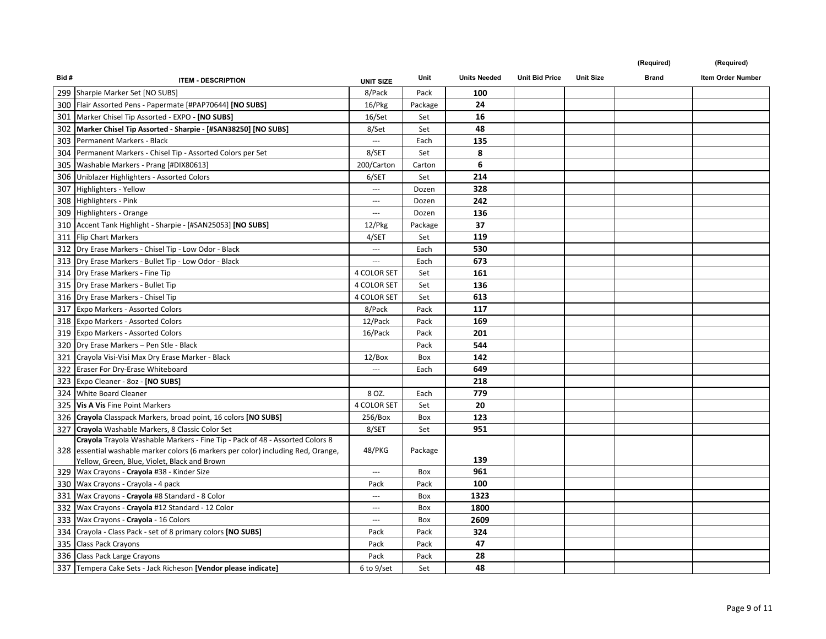| Bid# | <b>ITEM - DESCRIPTION</b>                                                                     | <b>UNIT SIZE</b>         | Unit    | <b>Units Needed</b> | <b>Unit Bid Price</b> | <b>Unit Size</b> | <b>Brand</b> | <b>Item Order Number</b> |
|------|-----------------------------------------------------------------------------------------------|--------------------------|---------|---------------------|-----------------------|------------------|--------------|--------------------------|
|      | 299 Sharpie Marker Set [NO SUBS]                                                              | 8/Pack                   | Pack    | 100                 |                       |                  |              |                          |
|      | 300   Flair Assorted Pens - Papermate [#PAP70644] [NO SUBS]                                   | 16/Pkg                   | Package | 24                  |                       |                  |              |                          |
|      | 301 Marker Chisel Tip Assorted - EXPO - [NO SUBS]                                             | 16/Set                   | Set     | 16                  |                       |                  |              |                          |
| 302  | Marker Chisel Tip Assorted - Sharpie - [#SAN38250] [NO SUBS]                                  | 8/Set                    | Set     | 48                  |                       |                  |              |                          |
|      | 303 Permanent Markers - Black                                                                 | $\sim$ $\sim$            | Each    | 135                 |                       |                  |              |                          |
|      | 304 Permanent Markers - Chisel Tip - Assorted Colors per Set                                  | 8/SET                    | Set     | 8                   |                       |                  |              |                          |
|      | 305 Washable Markers - Prang [#DIX80613]                                                      | 200/Carton               | Carton  | 6                   |                       |                  |              |                          |
|      | 306 Uniblazer Highlighters - Assorted Colors                                                  | 6/SET                    | Set     | 214                 |                       |                  |              |                          |
|      | 307 Highlighters - Yellow                                                                     | $\hspace{0.05cm} \ldots$ | Dozen   | 328                 |                       |                  |              |                          |
|      | 308 Highlighters - Pink                                                                       | $\hspace{0.05cm} \ldots$ | Dozen   | 242                 |                       |                  |              |                          |
|      | 309 Highlighters - Orange                                                                     | $\hspace{0.05cm} \ldots$ | Dozen   | 136                 |                       |                  |              |                          |
|      | 310 Accent Tank Highlight - Sharpie - [#SAN25053] [NO SUBS]                                   | 12/Pkg                   | Package | 37                  |                       |                  |              |                          |
|      | 311 Flip Chart Markers                                                                        | 4/SET                    | Set     | 119                 |                       |                  |              |                          |
|      | 312 Dry Erase Markers - Chisel Tip - Low Odor - Black                                         | $\cdots$                 | Each    | 530                 |                       |                  |              |                          |
|      | 313 Dry Erase Markers - Bullet Tip - Low Odor - Black                                         | $\qquad \qquad -$        | Each    | 673                 |                       |                  |              |                          |
|      | 314   Dry Erase Markers - Fine Tip                                                            | <b>4 COLOR SET</b>       | Set     | 161                 |                       |                  |              |                          |
|      | 315   Dry Erase Markers - Bullet Tip                                                          | 4 COLOR SET              | Set     | 136                 |                       |                  |              |                          |
|      | 316   Dry Erase Markers - Chisel Tip                                                          | 4 COLOR SET              | Set     | 613                 |                       |                  |              |                          |
|      | 317 Expo Markers - Assorted Colors                                                            | 8/Pack                   | Pack    | 117                 |                       |                  |              |                          |
|      | 318 Expo Markers - Assorted Colors                                                            | 12/Pack                  | Pack    | 169                 |                       |                  |              |                          |
|      | 319 Expo Markers - Assorted Colors                                                            | 16/Pack                  | Pack    | 201                 |                       |                  |              |                          |
|      | 320   Dry Erase Markers - Pen Stle - Black                                                    |                          | Pack    | 544                 |                       |                  |              |                          |
|      | 321 Crayola Visi-Visi Max Dry Erase Marker - Black                                            | 12/Box                   | Box     | 142                 |                       |                  |              |                          |
|      | 322 Eraser For Dry-Erase Whiteboard                                                           | $\cdots$                 | Each    | 649                 |                       |                  |              |                          |
|      | 323 Expo Cleaner - 8oz - [NO SUBS]                                                            |                          |         | 218                 |                       |                  |              |                          |
|      | 324 White Board Cleaner                                                                       | 8 OZ.                    | Each    | 779                 |                       |                  |              |                          |
|      | 325 Vis A Vis Fine Point Markers                                                              | 4 COLOR SET              | Set     | 20                  |                       |                  |              |                          |
|      | 326 Crayola Classpack Markers, broad point, 16 colors [NO SUBS]                               | 256/Box                  | Box     | 123                 |                       |                  |              |                          |
|      | 327 Crayola Washable Markers, 8 Classic Color Set                                             | 8/SET                    | Set     | 951                 |                       |                  |              |                          |
|      | Crayola Trayola Washable Markers - Fine Tip - Pack of 48 - Assorted Colors 8                  |                          |         |                     |                       |                  |              |                          |
|      | 328 essential washable marker colors (6 markers per color) including Red, Orange,             | 48/PKG                   | Package | 139                 |                       |                  |              |                          |
|      | Yellow, Green, Blue, Violet, Black and Brown<br>329   Wax Crayons - Crayola #38 - Kinder Size | $\hspace{0.05cm} \ldots$ | Box     | 961                 |                       |                  |              |                          |
|      | 330 Wax Crayons - Crayola - 4 pack                                                            | Pack                     | Pack    | 100                 |                       |                  |              |                          |
|      | 331 Wax Crayons - Crayola #8 Standard - 8 Color                                               | $\hspace{0.05cm} \ldots$ | Box     | 1323                |                       |                  |              |                          |
|      | 332 Wax Crayons - Crayola #12 Standard - 12 Color                                             | $\hspace{0.05cm} \ldots$ | Box     | 1800                |                       |                  |              |                          |
|      | 333 Wax Crayons - Crayola - 16 Colors                                                         | $\hspace{0.05cm} \ldots$ | Box     | 2609                |                       |                  |              |                          |
|      | 334 Crayola - Class Pack - set of 8 primary colors [NO SUBS]                                  | Pack                     | Pack    | 324                 |                       |                  |              |                          |
|      | 335 Class Pack Crayons                                                                        | Pack                     | Pack    | 47                  |                       |                  |              |                          |
|      | 336 Class Pack Large Crayons                                                                  | Pack                     | Pack    | 28                  |                       |                  |              |                          |
|      | 337 Tempera Cake Sets - Jack Richeson [Vendor please indicate]                                | 6 to 9/set               | Set     | 48                  |                       |                  |              |                          |
|      |                                                                                               |                          |         |                     |                       |                  |              |                          |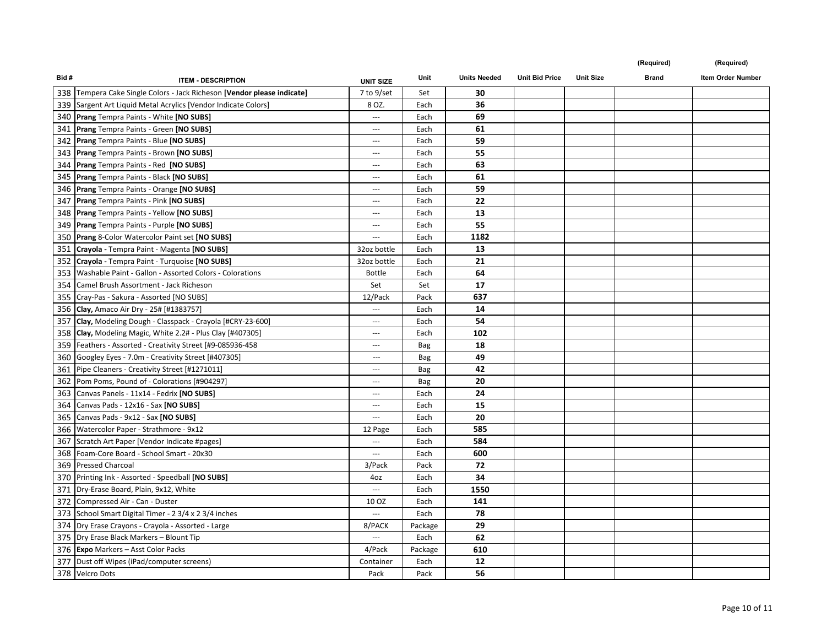| Bid# | <b>ITEM - DESCRIPTION</b>                                               | <b>UNIT SIZE</b>         | <b>Unit</b> | <b>Units Needed</b> | <b>Unit Bid Price</b> | <b>Unit Size</b> | <b>Brand</b> | Item Order Number |
|------|-------------------------------------------------------------------------|--------------------------|-------------|---------------------|-----------------------|------------------|--------------|-------------------|
|      | 338 Tempera Cake Single Colors - Jack Richeson [Vendor please indicate] | 7 to 9/set               | Set         | 30                  |                       |                  |              |                   |
|      | 339 Sargent Art Liquid Metal Acrylics [Vendor Indicate Colors]          | 8 OZ.                    | Each        | 36                  |                       |                  |              |                   |
|      | 340 Prang Tempra Paints - White [NO SUBS]                               | $\cdots$                 | Each        | 69                  |                       |                  |              |                   |
|      | 341 Prang Tempra Paints - Green [NO SUBS]                               | $\hspace{0.05cm} \ldots$ | Each        | 61                  |                       |                  |              |                   |
|      | 342 Prang Tempra Paints - Blue [NO SUBS]                                | $\hspace{0.05cm} \ldots$ | Each        | 59                  |                       |                  |              |                   |
|      | 343 Prang Tempra Paints - Brown [NO SUBS]                               | ---                      | Each        | 55                  |                       |                  |              |                   |
|      | 344 Prang Tempra Paints - Red [NO SUBS]                                 | $\overline{\phantom{a}}$ | Each        | 63                  |                       |                  |              |                   |
|      | 345 Prang Tempra Paints - Black [NO SUBS]                               | $\hspace{0.05cm} \ldots$ | Each        | 61                  |                       |                  |              |                   |
|      | 346 Prang Tempra Paints - Orange [NO SUBS]                              | $\hspace{0.05cm} \ldots$ | Each        | 59                  |                       |                  |              |                   |
|      | 347 Prang Tempra Paints - Pink [NO SUBS]                                | $\hspace{0.05cm} \ldots$ | Each        | 22                  |                       |                  |              |                   |
|      | 348 Prang Tempra Paints - Yellow [NO SUBS]                              | $\overline{\phantom{a}}$ | Each        | 13                  |                       |                  |              |                   |
|      | 349 Prang Tempra Paints - Purple [NO SUBS]                              | $\cdots$                 | Each        | 55                  |                       |                  |              |                   |
|      | 350 Prang 8-Color Watercolor Paint set [NO SUBS]                        | $\sim$                   | Each        | 1182                |                       |                  |              |                   |
|      | 351 Crayola - Tempra Paint - Magenta [NO SUBS]                          | 32oz bottle              | Each        | 13                  |                       |                  |              |                   |
|      | 352 Crayola - Tempra Paint - Turquoise [NO SUBS]                        | 32oz bottle              | Each        | 21                  |                       |                  |              |                   |
|      | 353 Washable Paint - Gallon - Assorted Colors - Colorations             | <b>Bottle</b>            | Each        | 64                  |                       |                  |              |                   |
|      | 354 Camel Brush Assortment - Jack Richeson                              | Set                      | Set         | 17                  |                       |                  |              |                   |
|      | 355 Cray-Pas - Sakura - Assorted [NO SUBS]                              | 12/Pack                  | Pack        | 637                 |                       |                  |              |                   |
|      | 356 Clay, Amaco Air Dry - 25# [#1383757]                                |                          | Each        | 14                  |                       |                  |              |                   |
|      | 357 Clay, Modeling Dough - Classpack - Crayola [#CRY-23-600]            | $\hspace{0.05cm} \ldots$ | Each        | 54                  |                       |                  |              |                   |
|      | 358 Clay, Modeling Magic, White 2.2# - Plus Clay [#407305]              | $\hspace{0.05cm} \ldots$ | Each        | 102                 |                       |                  |              |                   |
|      | 359   Feathers - Assorted - Creativity Street [#9-085936-458            | $\hspace{0.05cm} \ldots$ | Bag         | 18                  |                       |                  |              |                   |
|      | 360 Googley Eyes - 7.0m - Creativity Street [#407305]                   | $\hspace{0.05cm} \ldots$ | Bag         | 49                  |                       |                  |              |                   |
|      | 361 Pipe Cleaners - Creativity Street [#1271011]                        | $\hspace{0.05cm} \ldots$ | Bag         | 42                  |                       |                  |              |                   |
|      | 362 Pom Poms, Pound of - Colorations [#904297]                          | $\overline{\phantom{a}}$ | Bag         | 20                  |                       |                  |              |                   |
|      | 363 Canvas Panels - 11x14 - Fedrix [NO SUBS]                            | $\hspace{0.05cm} \cdots$ | Each        | 24                  |                       |                  |              |                   |
|      | 364 Canvas Pads - 12x16 - Sax [NO SUBS]                                 | $\hspace{0.05cm} \ldots$ | Each        | 15                  |                       |                  |              |                   |
|      | 365 Canvas Pads - 9x12 - Sax [NO SUBS]                                  | $\hspace{0.05cm} \ldots$ | Each        | 20                  |                       |                  |              |                   |
|      | 366 Watercolor Paper - Strathmore - 9x12                                | 12 Page                  | Each        | 585                 |                       |                  |              |                   |
|      | 367 Scratch Art Paper [Vendor Indicate #pages]                          | $\hspace{0.05cm} \ldots$ | Each        | 584                 |                       |                  |              |                   |
|      | 368   Foam-Core Board - School Smart - 20x30                            | $\cdots$                 | Each        | 600                 |                       |                  |              |                   |
|      | 369 Pressed Charcoal                                                    | 3/Pack                   | Pack        | 72                  |                       |                  |              |                   |
|      | 370 Printing Ink - Assorted - Speedball [NO SUBS]                       | 4oz                      | Each        | 34                  |                       |                  |              |                   |
|      | 371 Dry-Erase Board, Plain, 9x12, White                                 | $\overline{\phantom{a}}$ | Each        | 1550                |                       |                  |              |                   |
|      | 372 Compressed Air - Can - Duster                                       | 10 OZ                    | Each        | 141                 |                       |                  |              |                   |
|      | 373 School Smart Digital Timer - 2 3/4 x 2 3/4 inches                   | $\cdots$                 | Each        | 78                  |                       |                  |              |                   |
|      | 374   Dry Erase Crayons - Crayola - Assorted - Large                    | 8/PACK                   | Package     | 29                  |                       |                  |              |                   |
|      | 375 Dry Erase Black Markers - Blount Tip                                | $\cdots$                 | Each        | 62                  |                       |                  |              |                   |
|      | 376 Expo Markers - Asst Color Packs                                     | 4/Pack                   | Package     | 610                 |                       |                  |              |                   |
|      | 377 Dust off Wipes (iPad/computer screens)                              | Container                | Each        | 12                  |                       |                  |              |                   |
|      | 378 Velcro Dots                                                         | Pack                     | Pack        | 56                  |                       |                  |              |                   |